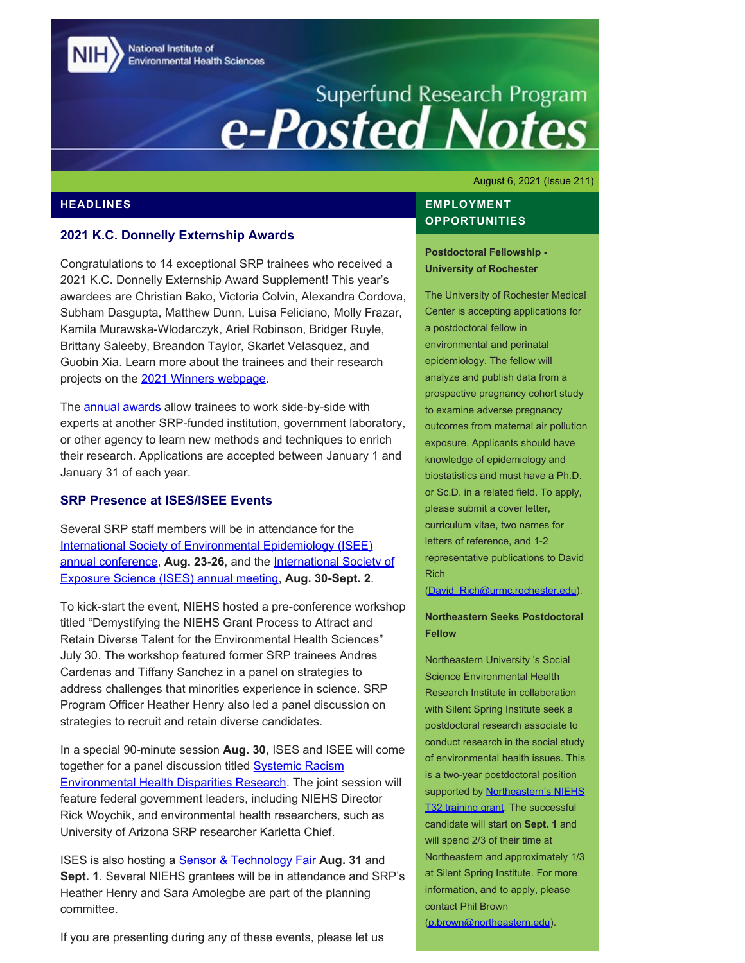National Institute of **Environmental Health Sciences** 

# Superfund Research Program<br> **e-Posted Notes**

August 6, 2021 (Issue 211)

# **HEADLINES**

## **2021 K.C. Donnelly Externship Awards**

Congratulations to 14 exceptional SRP trainees who received a 2021 K.C. Donnelly Externship Award Supplement! This year's awardees are Christian Bako, Victoria Colvin, Alexandra Cordova, Subham Dasgupta, Matthew Dunn, Luisa Feliciano, Molly Frazar, Kamila Murawska-Wlodarczyk, Ariel Robinson, Bridger Ruyle, Brittany Saleeby, Breandon Taylor, Skarlet Velasquez, and Guobin Xia. Learn more about the trainees and their research projects on the [2021 Winners webpage](https://www.niehs.nih.gov/research/supported/centers/srp/training/donnelly/2021winners/index.cfm).

The **annual awards** allow trainees to work side-by-side with experts at another SRP-funded institution, government laboratory, or other agency to learn new methods and techniques to enrich their research. Applications are accepted between January 1 and January 31 of each year.

# **SRP Presence at ISES/ISEE Events**

Several SRP staff members will be in attendance for the International Society of Environmental Epidemiology (ISEE) [annual conference,](https://intlexposurescience.org/meetings/live-pre-conference-workshops) Aug. 23-26, and the [International Society of](https://intlexposurescience.org/meetings/general-information) [Exposure Science \(ISES\) annual meeting,](https://intlexposurescience.org/meetings/general-information) **Aug. 30-Sept. 2**.

To kick-start the event, NIEHS hosted a pre-conference workshop titled "Demystifying the NIEHS Grant Process to Attract and Retain Diverse Talent for the Environmental Health Sciences" July 30. The workshop featured former SRP trainees Andres Cardenas and Tiffany Sanchez in a panel on strategies to address challenges that minorities experience in science. SRP Program Officer Heather Henry also led a panel discussion on strategies to recruit and retain diverse candidates.

In a special 90-minute session **Aug. 30**, ISES and ISEE will come together for a panel discussion titled **Systemic Racism** [Environmental Health Disparities Research](https://intlexposurescience.org/meetings/joint-session-isee). The joint session will feature federal government leaders, including NIEHS Director Rick Woychik, and environmental health researchers, such as University of Arizona SRP researcher Karletta Chief.

ISES is also hosting a [Sensor & Technology Fair](https://intlexposurescience.org/meetings/sensor-technology-fair) **Aug. 31** and **Sept. 1**. Several NIEHS grantees will be in attendance and SRP's Heather Henry and Sara Amolegbe are part of the planning committee.

If you are presenting during any of these events, please let us

# **EMPLOYMENT OPPORTUNITIES**

**Postdoctoral Fellowship - University of Rochester** 

The University of Rochester Medical Center is accepting applications for a postdoctoral fellow in environmental and perinatal epidemiology. The fellow will analyze and publish data from a prospective pregnancy cohort study to examine adverse pregnancy outcomes from maternal air pollution exposure. Applicants should have knowledge of epidemiology and biostatistics and must have a Ph.D. or Sc.D. in a related field. To apply, please submit a cover letter, curriculum vitae, two names for letters of reference, and 1-2 representative publications to David Rich

[\(David\\_Rich@urmc.rochester.edu\)](mailto:David_Rich@urmc.rochester.edu).

## **Northeastern Seeks Postdoctoral Fellow**

Northeastern University 's Social Science Environmental Health Research Institute in collaboration with Silent Spring Institute seek a postdoctoral research associate to conduct research in the social study of environmental health issues. This is a two-year postdoctoral position supported by **Northeastern's NIEHS** [T32 training grant.](https://www.northeastern.edu/environmentalhealth/resources-for-prospective-students/niehs-research-training-program/) The successful candidate will start on **Sept. 1** and will spend 2/3 of their time at Northeastern and approximately 1/3 at Silent Spring Institute. For more information, and to apply, please contact Phil Brown [\(p.brown@northeastern.edu](mailto: p.brown@northeastern.edu)).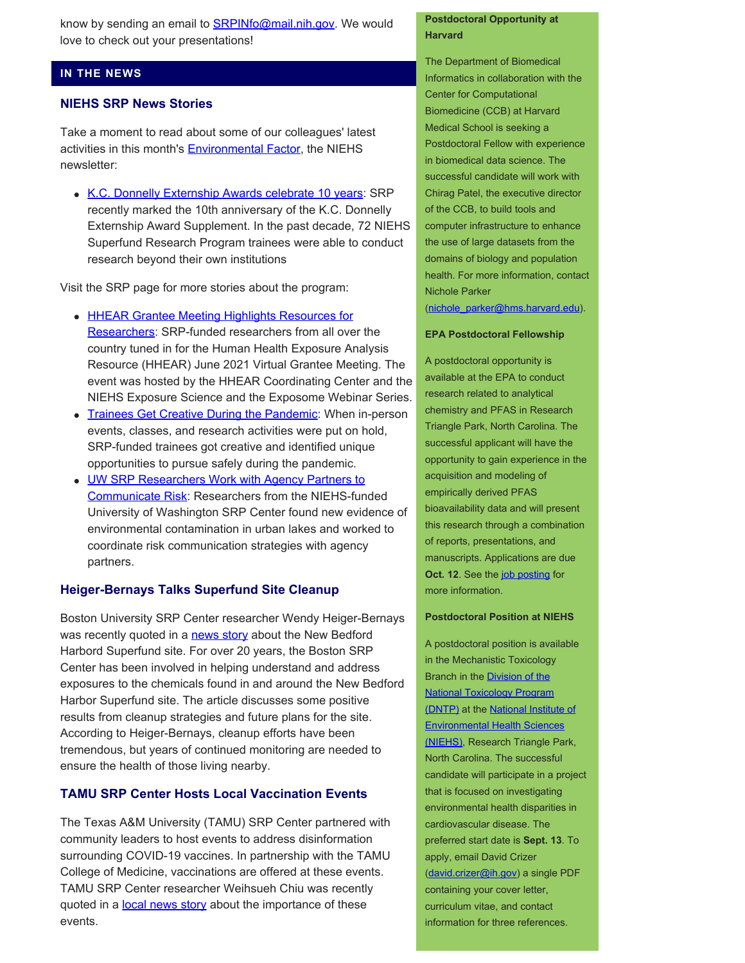know by sending an email to **SRPINfo@mail.nih.gov**. We would love to check out your presentations!

## **IN THE NEWS**

## **NIEHS SRP News Stories**

Take a moment to read about some of our colleagues' latest activities in this month's **Environmental Factor**, the NIEHS newsletter:

• [K.C. Donnelly Externship Awards celebrate 10 years:](https://factor.niehs.nih.gov/2021/8/awards-recognition/externship-awards/index.htm) SRP recently marked the 10th anniversary of the K.C. Donnelly Externship Award Supplement. In the past decade, 72 NIEHS Superfund Research Program trainees were able to conduct research beyond their own institutions

Visit the SRP page for more stories about the program:

- [HHEAR Grantee Meeting Highlights Resources for](https://www.niehs.nih.gov/research/supported/centers/srp/news/2021news/HHEAR/index.cfm) [Researchers](https://www.niehs.nih.gov/research/supported/centers/srp/news/2021news/HHEAR/index.cfm): SRP-funded researchers from all over the country tuned in for the Human Health Exposure Analysis Resource (HHEAR) June 2021 Virtual Grantee Meeting. The event was hosted by the HHEAR Coordinating Center and the NIEHS Exposure Science and the Exposome Webinar Series.
- [Trainees Get Creative During the Pandemic](https://www.niehs.nih.gov/research/supported/centers/srp/news/2021news/trainees/index.cfm): When in-person events, classes, and research activities were put on hold, SRP-funded trainees got creative and identified unique opportunities to pursue safely during the pandemic.
- [UW SRP Researchers Work with Agency Partners to](https://www.niehs.nih.gov/research/supported/centers/srp/news/2021news/risk_communication/index.cfm) [Communicate Risk:](https://www.niehs.nih.gov/research/supported/centers/srp/news/2021news/risk_communication/index.cfm) Researchers from the NIEHS-funded University of Washington SRP Center found new evidence of environmental contamination in urban lakes and worked to coordinate risk communication strategies with agency partners.

# **Heiger-Bernays Talks Superfund Site Cleanup**

Boston University SRP Center researcher Wendy Heiger-Bernays was recently quoted in a [news story](https://www.wgbh.org/news/local-news/2021/07/13/new-bedfords-harbor-is-a-billion-dollars-cleaner-but-long-term-impacts-remain) about the New Bedford Harbord Superfund site. For over 20 years, the Boston SRP Center has been involved in helping understand and address exposures to the chemicals found in and around the New Bedford Harbor Superfund site. The article discusses some positive results from cleanup strategies and future plans for the site. According to Heiger-Bernays, cleanup efforts have been tremendous, but years of continued monitoring are needed to ensure the health of those living nearby.

# **TAMU SRP Center Hosts Local Vaccination Events**

The Texas A&M University (TAMU) SRP Center partnered with community leaders to host events to address disinformation surrounding COVID-19 vaccines. In partnership with the TAMU College of Medicine, vaccinations are offered at these events. TAMU SRP Center researcher Weihsueh Chiu was recently quoted in a [local news story](https://www.kagstv.com/article/news/local/the-texas-am-superfund-research-center-and-college-of-medicine-to-host-covid-19-information-event-tonight/499-92c49d92-fccb-43e8-9c87-07763f7ef3a9) about the importance of these events.

## **Postdoctoral Opportunity at Harvard**

The Department of Biomedical Informatics in collaboration with the Center for Computational Biomedicine (CCB) at Harvard Medical School is seeking a Postdoctoral Fellow with experience in biomedical data science. The successful candidate will work with Chirag Patel, the executive director of the CCB, to build tools and computer infrastructure to enhance the use of large datasets from the domains of biology and population health. For more information, contact Nichole Parker [\(nichole\\_parker@hms.harvard.edu](mailto: nichole_parker@hms.harvard.edu)).

#### **EPA Postdoctoral Fellowship**

A postdoctoral opportunity is available at the EPA to conduct research related to analytical chemistry and PFAS in Research Triangle Park, North Carolina. The successful applicant will have the opportunity to gain experience in the acquisition and modeling of empirically derived PFAS bioavailability data and will present this research through a combination of reports, presentations, and manuscripts. Applications are due **Oct. 12.** See the [job posting](https://www.zintellect.com/Opportunity/Details/EPA-ORD-CEMM-WECD-2021-05) for more information.

#### **Postdoctoral Position at NIEHS**

A postdoctoral position is available in the Mechanistic Toxicology Branch in the [Division of the](https://ntp.niehs.nih.gov/) [National Toxicology Program](https://ntp.niehs.nih.gov/)  [\(DNTP\)](https://ntp.niehs.nih.gov/) at the [National Institute of](https://www.niehs.nih.gov/) [Environmental Health Sciences](https://www.niehs.nih.gov/) [\(NIEHS\)](https://www.niehs.nih.gov/), Research Triangle Park, North Carolina. The successful candidate will participate in a project that is focused on investigating environmental health disparities in cardiovascular disease. The preferred start date is **Sept. 13**. To apply, email David Crizer [\(david.crizer@ih.gov](mailto: david.crizer@ih.gov)) a single PDF containing your cover letter, curriculum vitae, and contact information for three references.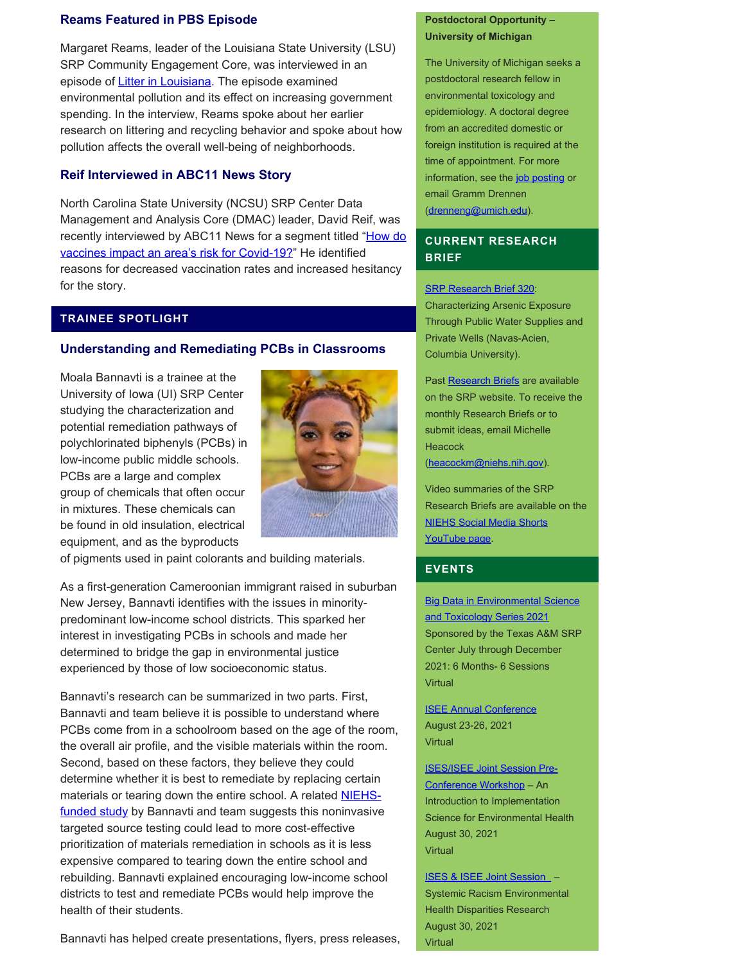## **Reams Featured in PBS Episode**

Margaret Reams, leader of the Louisiana State University (LSU) SRP Community Engagement Core, was interviewed in an episode of [Litter in Louisiana](https://www.lpb.org/programs/louisiana-public-square/louisiana-public-square-2021/litter-february-2021-public-square). The episode examined environmental pollution and its effect on increasing government spending. In the interview, Reams spoke about her earlier research on littering and recycling behavior and spoke about how pollution affects the overall well-being of neighborhoods.

## **Reif Interviewed in ABC11 News Story**

North Carolina State University (NCSU) SRP Center Data Management and Analysis Core (DMAC) leader, David Reif, was recently interviewed by ABC11 News for a segment titled "How do [vaccines impact an area's risk for Covid-19?"](https://abc11.com/health/how-do-vaccines-impact-an-areas-risk-for-covid-19-/10821276/) He identified reasons for decreased vaccination rates and increased hesitancy for the story.

## **TRAINEE SPOTLIGHT**

#### **Understanding and Remediating PCBs in Classrooms**

Moala Bannavti is a trainee at the University of Iowa (UI) SRP Center studying the characterization and potential remediation pathways of polychlorinated biphenyls (PCBs) in low-income public middle schools. PCBs are a large and complex group of chemicals that often occur in mixtures. These chemicals can be found in old insulation, electrical equipment, and as the byproducts



of pigments used in paint colorants and building materials.

As a first-generation Cameroonian immigrant raised in suburban New Jersey, Bannavti identifies with the issues in minoritypredominant low-income school districts. This sparked her interest in investigating PCBs in schools and made her determined to bridge the gap in environmental justice experienced by those of low socioeconomic status.

Bannavti's research can be summarized in two parts. First, Bannavti and team believe it is possible to understand where PCBs come from in a schoolroom based on the age of the room, the overall air profile, and the visible materials within the room. Second, based on these factors, they believe they could determine whether it is best to remediate by replacing certain materials or tearing down the entire school. A related **NIEHS**[funded study](https://pubs.acs.org/doi/10.1021/acs.est.0c08149) by Bannavti and team suggests this noninvasive targeted source testing could lead to more cost-effective prioritization of materials remediation in schools as it is less expensive compared to tearing down the entire school and rebuilding. Bannavti explained encouraging low-income school districts to test and remediate PCBs would help improve the health of their students.

## **Postdoctoral Opportunity – University of Michigan**

The University of Michigan seeks a postdoctoral research fellow in environmental toxicology and epidemiology. A doctoral degree from an accredited domestic or foreign institution is required at the time of appointment. For more information, see the [job posting](https://sph.umich.edu/ehs/etep/application.html) or email Gramm Drennen [\(drenneng@umich.edu](file:///C/Users/wmclean/OneDrive%20-%20MDB,%20Inc/Documents/PDF%20508/drenneng@umich.edu)).

# **CURRENT RESEARCH BRIEF**

**[SRP Research Brief 320](https://tools.niehs.nih.gov/srp/researchbriefs/view.cfm?Brief_ID=320):** Characterizing Arsenic Exposure Through Public Water Supplies and Private Wells (Navas-Acien, Columbia University).

Past [Research Briefs](http://tools.niehs.nih.gov/srp/researchbriefs/index.cfm) are available on the SRP website. To receive the monthly Research Briefs or to submit ideas, email Michelle **Heacock** [\(heacockm@niehs.nih.gov\)](mailto:heacockm@niehs.nih.gov).

Video summaries of the SRP Research Briefs are available on the [NIEHS Social Media Shorts](https://www.youtube.com/playlist?list=PLlo0xQLFI54GlGBHIWb3va3YrKAv16SZ8)  [YouTube page.](https://www.youtube.com/playlist?list=PLlo0xQLFI54GlGBHIWb3va3YrKAv16SZ8)

## **EVENTS**

**Big Data in Environmental Science** [and Toxicology Series 2021](https://superfund.tamu.edu/big-data-series-2021/) Sponsored by the Texas A&M SRP Center July through December 2021: 6 Months- 6 Sessions Virtual

[ISEE Annual Conference](https://www.isee2021.org/)  August 23-26, 2021 **Virtual** 

[ISES/ISEE Joint Session Pre-](https://www.publichealth.columbia.edu/research/precision-prevention/exposome-boot-camp-measuring-exposures-omic-scale?utm_medium=email&utm_source=mailchimp&utm_campaign=exposomebootcamp_2021&utm_term=exposome)[Conference Workshop](https://www.publichealth.columbia.edu/research/precision-prevention/exposome-boot-camp-measuring-exposures-omic-scale?utm_medium=email&utm_source=mailchimp&utm_campaign=exposomebootcamp_2021&utm_term=exposome) – An Introduction to Implementation Science for Environmental Health August 30, 2021 Virtual

 [ISES & ISEE Joint Session](https://intlexposurescience.org/meetings/pre-conference-workshops) – Systemic Racism Environmental Health Disparities Research August 30, 2021 Virtual

Bannavti has helped create presentations, flyers, press releases,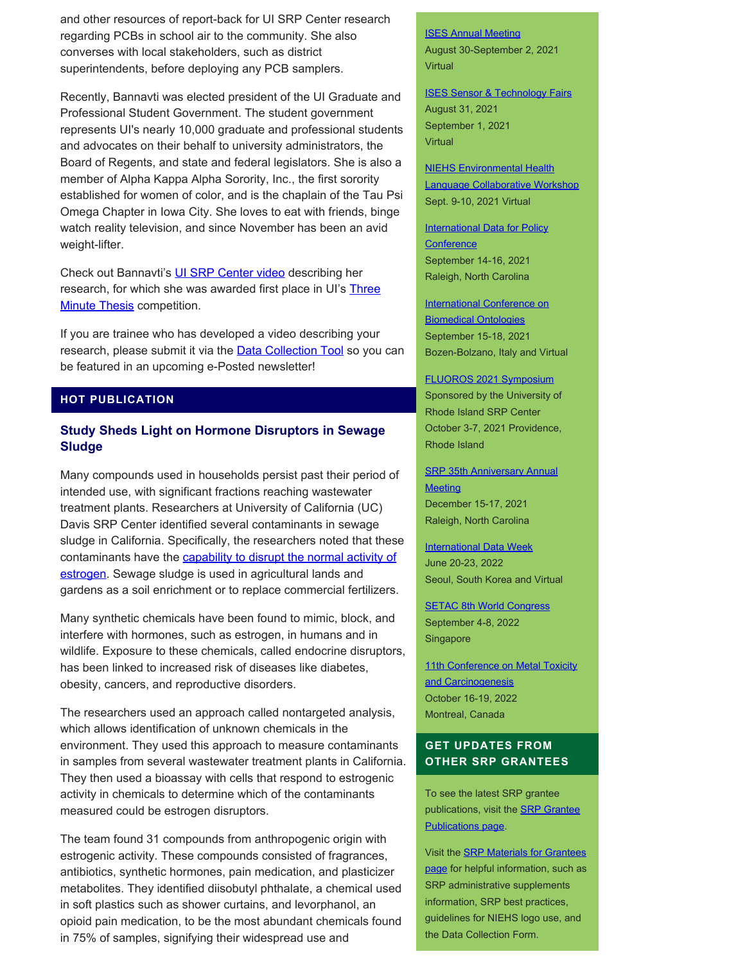and other resources of report-back for UI SRP Center research regarding PCBs in school air to the community. She also converses with local stakeholders, such as district superintendents, before deploying any PCB samplers.

Recently, Bannavti was elected president of the UI Graduate and Professional Student Government. The student government represents UI's nearly 10,000 graduate and professional students and advocates on their behalf to university administrators, the Board of Regents, and state and federal legislators. She is also a member of Alpha Kappa Alpha Sorority, Inc., the first sorority established for women of color, and is the chaplain of the Tau Psi Omega Chapter in Iowa City. She loves to eat with friends, binge watch reality television, and since November has been an avid weight-lifter.

Check out Bannavti's [UI SRP Center video](https://www.youtube.com/watch?v=rVUvoUVu7Uc) describing her research, for which she was awarded first place in UI's [Three](https://grad.uiowa.edu/grad-success/3MT/2020-3mt-showcase) **[Minute Thesis](https://grad.uiowa.edu/grad-success/3MT/2020-3mt-showcase) competition.** 

If you are trainee who has developed a video describing your research, please submit it via the **Data Collection Tool** so you can be featured in an upcoming e-Posted newsletter!

## **HOT PUBLICATION**

# **Study Sheds Light on Hormone Disruptors in Sewage Sludge**

Many compounds used in households persist past their period of intended use, with significant fractions reaching wastewater treatment plants. Researchers at University of California (UC) Davis SRP Center identified several contaminants in sewage sludge in California. Specifically, the researchers noted that these contaminants have the capability to disrupt the normal activity of [estrogen.](https://pubmed.ncbi.nlm.nih.gov/33909413/) Sewage sludge is used in agricultural lands and gardens as a soil enrichment or to replace commercial fertilizers.

Many synthetic chemicals have been found to mimic, block, and interfere with hormones, such as estrogen, in humans and in wildlife. Exposure to these chemicals, called endocrine disruptors, has been linked to increased risk of diseases like diabetes, obesity, cancers, and reproductive disorders.

The researchers used an approach called nontargeted analysis, which allows identification of unknown chemicals in the environment. They used this approach to measure contaminants in samples from several wastewater treatment plants in California. They then used a bioassay with cells that respond to estrogenic activity in chemicals to determine which of the contaminants measured could be estrogen disruptors.

The team found 31 compounds from anthropogenic origin with estrogenic activity. These compounds consisted of fragrances, antibiotics, synthetic hormones, pain medication, and plasticizer metabolites. They identified diisobutyl phthalate, a chemical used in soft plastics such as shower curtains, and levorphanol, an opioid pain medication, to be the most abundant chemicals found in 75% of samples, signifying their widespread use and

[ISES Annual Meeting](https://intlexposurescience.org/meetings/general-information)  August 30-September 2, 2021 Virtual

**[ISES Sensor & Technology Fairs](https://intlexposurescience.org/meetings/sensor-technology-fair)** August 31, 2021 September 1, 2021 **Virtual** 

[NIEHS Environmental Health](https://event.fourwaves.com/82758d6c-e977-4ae6-94d8-b5b8a4c32062/pages)  [Language Collaborative Workshop](https://event.fourwaves.com/82758d6c-e977-4ae6-94d8-b5b8a4c32062/pages) Sept. 9-10, 2021 Virtual

**International Data for Policy [Conference](https://dataforpolicy.org/data-for-policy-2021/)** September 14-16, 2021 Raleigh, North Carolina

**[International Conference on](https://icbo2021.inf.unibz.it/)** [Biomedical Ontologies](https://icbo2021.inf.unibz.it/)  September 15-18, 2021 Bozen-Bolzano, Italy and Virtual

[FLUOROS 2021 Symposium](https://www.niehs.nih.gov/research/supported/centers/srp/events/srp_annual_mtgs/)  Sponsored by the University of Rhode Island SRP Center October 3-7, 2021 Providence, Rhode Island

**SRP 35th Anniversary Annual Meeting** December 15-17, 2021 Raleigh, North Carolina

**International Data Week** June 20-23, 2022 Seoul, South Korea and Virtual

**[SETAC 8th World Congress](hhttps://singapore.setac.org/)** September 4-8, 2022 Singapore

11th Conference on Metal Toxicity and Carcinogenesis October 16-19, 2022 Montreal, Canada

# **GET UPDATES FROM OTHER SRP GRANTEES**

To see the latest SRP grantee publications, visit the [SRP Grantee](https://tools.niehs.nih.gov/srp/publications/granteepublications.cfm)  [Publications page.](https://tools.niehs.nih.gov/srp/publications/granteepublications.cfm)

Visit the **SRP Materials for Grantees** [page](https://www.niehs.nih.gov/research/supported/centers/srp/resources/index.cfm) for helpful information, such as SRP administrative supplements information, SRP best practices, guidelines for NIEHS logo use, and the Data Collection Form.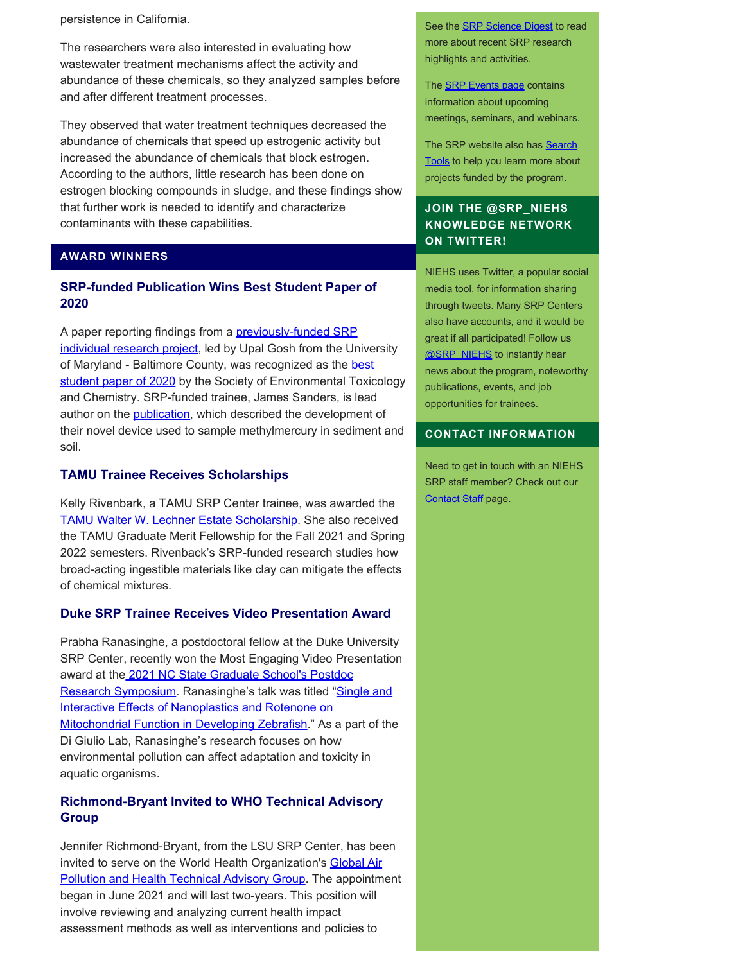persistence in California.

The researchers were also interested in evaluating how wastewater treatment mechanisms affect the activity and abundance of these chemicals, so they analyzed samples before and after different treatment processes.

They observed that water treatment techniques decreased the abundance of chemicals that speed up estrogenic activity but increased the abundance of chemicals that block estrogen. According to the authors, little research has been done on estrogen blocking compounds in sludge, and these findings show that further work is needed to identify and characterize contaminants with these capabilities.

## **AWARD WINNERS**

# **SRP-funded Publication Wins Best Student Paper of 2020**

A paper reporting findings from a **previously-funded SRP** [individual research project,](https://tools.niehs.nih.gov/srp/programs/Program_detail.cfm?Project_ID=R01ES024284) led by Upal Gosh from the University of Maryland - Baltimore County, was recognized as the [best](https://globe.setac.org/accolades-for-and-summaries-of-the-setac-best-papers/) [student paper of 2020](https://globe.setac.org/accolades-for-and-summaries-of-the-setac-best-papers/) by the Society of Environmental Toxicology and Chemistry. SRP-funded trainee, James Sanders, is lead author on the **publication**, which described the development of their novel device used to sample methylmercury in sediment and soil.

## **TAMU Trainee Receives Scholarships**

Kelly Rivenbark, a TAMU SRP Center trainee, was awarded the [TAMU Walter W. Lechner Estate Scholarship.](https://www.scholarships.com/financial-aid/college-scholarships/scholarship-directory/deadline/deadline-in-december/texas-aandm-university-lechner-scholarship) She also received the TAMU Graduate Merit Fellowship for the Fall 2021 and Spring 2022 semesters. Rivenback's SRP-funded research studies how broad-acting ingestible materials like clay can mitigate the effects of chemical mixtures.

## **Duke SRP Trainee Receives Video Presentation Award**

Prabha Ranasinghe, a postdoctoral fellow at the Duke University SRP Center, recently won the Most Engaging Video Presentation award at th[e 2021 NC State Graduate School's Postdoc](https://grad.ncsu.edu/professional-development/opa/current-postdocs/research-symposium/) [Research Symposium.](https://grad.ncsu.edu/professional-development/opa/current-postdocs/research-symposium/) Ranasinghe's talk was titled ["Single and](https://www.youtube.com/watch?v=n8XEz-EANTw&feature=youtu.be) Interactive Effects of Nanoplastics and Rotenone on [Mitochondrial Function in Developing Zebrafish.](https://www.youtube.com/watch?v=n8XEz-EANTw&feature=youtu.be)" As a part of the Di Giulio Lab, Ranasinghe's research focuses on how environmental pollution can affect adaptation and toxicity in aquatic organisms.

# **Richmond-Bryant Invited to WHO Technical Advisory Group**

Jennifer Richmond-Bryant, from the LSU SRP Center, has been invited to serve on the World Health Organization's [Global Air](https://www.who.int/news-room/articles-detail/call-for-experts-global-air-pollution-and-health-technical-advisory-group) **[Pollution and Health Technical Advisory Group](https://www.who.int/news-room/articles-detail/call-for-experts-global-air-pollution-and-health-technical-advisory-group).** The appointment began in June 2021 and will last two-years. This position will involve reviewing and analyzing current health impact assessment methods as well as interventions and policies to

See the **SRP Science Digest** to read more about recent SRP research highlights and activities.

The **SRP Events page** contains information about upcoming meetings, seminars, and webinars.

The SRP website also has **Search** [Tools](http://tools.niehs.nih.gov/srp/search/index.cfm) to help you learn more about projects funded by the program.

# **JOIN THE @SRP\_NIEHS KNOWLEDGE NETWORK ON TWITTER!**

NIEHS uses Twitter, a popular social media tool, for information sharing through tweets. Many SRP Centers also have accounts, and it would be great if all participated! Follow us [@SRP\\_NIEHS](https://twitter.com/SRP_NIEHS) to instantly hear news about the program, noteworthy publications, events, and job opportunities for trainees.

## **CONTACT INFORMATION**

Need to get in touch with an NIEHS SRP staff member? Check out our [Contact Staff](https://www.niehs.nih.gov/research/supported/centers/srp/about/contact_us/index.cfm) page.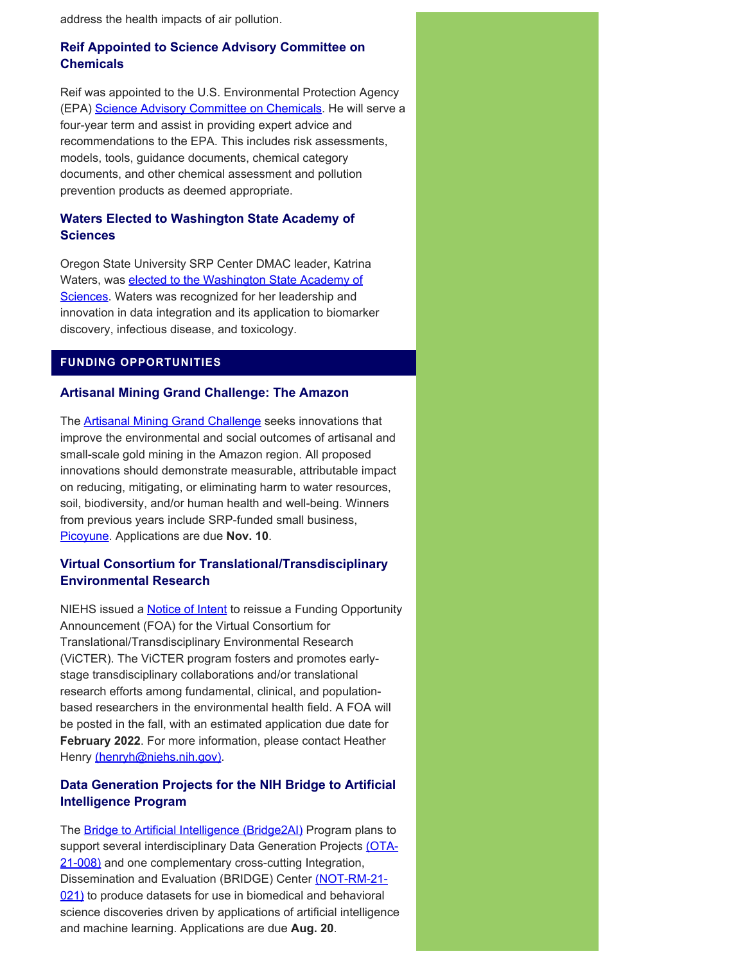address the health impacts of air pollution.

# **Reif Appointed to Science Advisory Committee on Chemicals**

Reif was appointed to the U.S. Environmental Protection Agency (EPA) [Science Advisory Committee on Chemicals](https://brc.ncsu.edu/blog/david-reif-named-to-the-u-s-environmental-protection-agency-epa-science-advisory-committee-on-chemicals-sacc#:~:text=on%20Chemicals%20(SACC)-,David%20Reif%20named%20to%20the%20U.S.%20Environmental%20Protection%20Agency%20(EPA,Advisory%20Committee%20on%20Chemicals%20(SACC)&text=David%20Reif%20was%20named%20to,term%20by%20Administrator%20Michael%20Regan.). He will serve a four-year term and assist in providing expert advice and recommendations to the EPA. This includes risk assessments, models, tools, guidance documents, chemical category documents, and other chemical assessment and pollution prevention products as deemed appropriate.

# **Waters Elected to Washington State Academy of Sciences**

Oregon State University SRP Center DMAC leader, Katrina Waters, was **[elected to the Washington State Academy of](https://washacad.org/news-info/38-new-members-elected-to-wsas/)** [Sciences](https://washacad.org/news-info/38-new-members-elected-to-wsas/). Waters was recognized for her leadership and innovation in data integration and its application to biomarker discovery, infectious disease, and toxicology.

# **FUNDING OPPORTUNITIES**

## **Artisanal Mining Grand Challenge: The Amazon**

The [Artisanal Mining Grand Challenge](https://www.artisanalminingchallenge.com/) seeks innovations that improve the environmental and social outcomes of artisanal and small-scale gold mining in the Amazon region. All proposed innovations should demonstrate measurable, attributable impact on reducing, mitigating, or eliminating harm to water resources, soil, biodiversity, and/or human health and well-being. Winners from previous years include SRP-funded small business, [Picoyune.](https://www.niehs.nih.gov/research/supported/centers/srp/science_digest/2020/12/technology/index.cfm) Applications are due **Nov. 10**.

# **Virtual Consortium for Translational/Transdisciplinary Environmental Research**

NIEHS issued a [Notice of Intent](https://grants.nih.gov/grants/guide/notice-files/NOT-ES-21-008.html) to reissue a Funding Opportunity Announcement (FOA) for the Virtual Consortium for Translational/Transdisciplinary Environmental Research (ViCTER). The ViCTER program fosters and promotes earlystage transdisciplinary collaborations and/or translational research efforts among fundamental, clinical, and populationbased researchers in the environmental health field. A FOA will be posted in the fall, with an estimated application due date for **February 2022**. For more information, please contact Heather Henry [\(henryh@niehs.nih.gov\).](mailto:henryh@niehs.nih.gov)

# **Data Generation Projects for the NIH Bridge to Artificial Intelligence Program**

The [Bridge to Artificial Intelligence \(Bridge2AI\)](https://commonfund.nih.gov/bridge2ai) Program plans to support several interdisciplinary Data Generation Projects [\(OTA-](https://commonfund.nih.gov/sites/default/files/OT2-Data-Generation-Projects-B2AI-051321-508.pdf)[21-008\)](https://commonfund.nih.gov/sites/default/files/OT2-Data-Generation-Projects-B2AI-051321-508.pdf) and one complementary cross-cutting Integration, Dissemination and Evaluation (BRIDGE) Center [\(NOT-RM-21-](https://grants.nih.gov/grants/guide/notice-files/NOT-RM-21-021.html) [021\)](https://grants.nih.gov/grants/guide/notice-files/NOT-RM-21-021.html) to produce datasets for use in biomedical and behavioral science discoveries driven by applications of artificial intelligence and machine learning. Applications are due **Aug. 20**.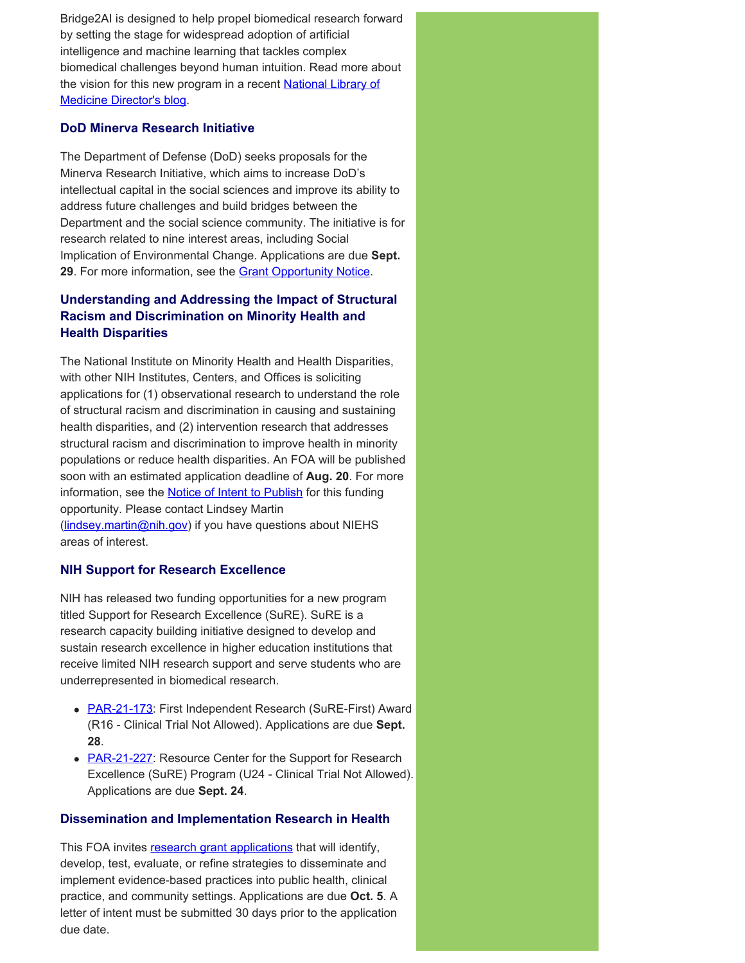Bridge2AI is designed to help propel biomedical research forward by setting the stage for widespread adoption of artificial intelligence and machine learning that tackles complex biomedical challenges beyond human intuition. Read more about the vision for this new program in a recent [National Library of](https://nlmdirector.nlm.nih.gov/2021/04/07/nih-strategically-and-ethically-building-a-bridge-to-ai-bridge2ai/) [Medicine Director's blog.](https://nlmdirector.nlm.nih.gov/2021/04/07/nih-strategically-and-ethically-building-a-bridge-to-ai-bridge2ai/)

## **DoD Minerva Research Initiative**

The Department of Defense (DoD) seeks proposals for the Minerva Research Initiative, which aims to increase DoD's intellectual capital in the social sciences and improve its ability to address future challenges and build bridges between the Department and the social science community. The initiative is for research related to nine interest areas, including Social Implication of Environmental Change. Applications are due **Sept.**  29. For more information, see the **Grant Opportunity Notice**.

# **Understanding and Addressing the Impact of Structural Racism and Discrimination on Minority Health and Health Disparities**

The National Institute on Minority Health and Health Disparities, with other NIH Institutes, Centers, and Offices is soliciting applications for (1) observational research to understand the role of structural racism and discrimination in causing and sustaining health disparities, and (2) intervention research that addresses structural racism and discrimination to improve health in minority populations or reduce health disparities. An FOA will be published soon with an estimated application deadline of **Aug. 20**. For more information, see the **Notice of Intent to Publish** for this funding opportunity. Please contact Lindsey Martin ([lindsey.martin@nih.gov](mailto:lindsey.martin@nih.gov)) if you have questions about NIEHS areas of interest.

## **NIH Support for Research Excellence**

NIH has released two funding opportunities for a new program titled Support for Research Excellence (SuRE). SuRE is a research capacity building initiative designed to develop and sustain research excellence in higher education institutions that receive limited NIH research support and serve students who are underrepresented in biomedical research.

- [PAR-21-173](https://grants.nih.gov/grants/guide/pa-files/par-21-173.html): First Independent Research (SuRE-First) Award (R16 - Clinical Trial Not Allowed). Applications are due **Sept. 28**.
- **[PAR-21-227](https://grants.nih.gov/grants/guide/pa-files/PAR-21-227.html):** Resource Center for the Support for Research Excellence (SuRE) Program (U24 - Clinical Trial Not Allowed). Applications are due **Sept. 24**.

## **Dissemination and Implementation Research in Health**

This FOA invites [research grant applications](https://grants.nih.gov/grants/guide/pa-files/PAR-19-274.html) that will identify, develop, test, evaluate, or refine strategies to disseminate and implement evidence-based practices into public health, clinical practice, and community settings. Applications are due **Oct. 5**. A letter of intent must be submitted 30 days prior to the application due date.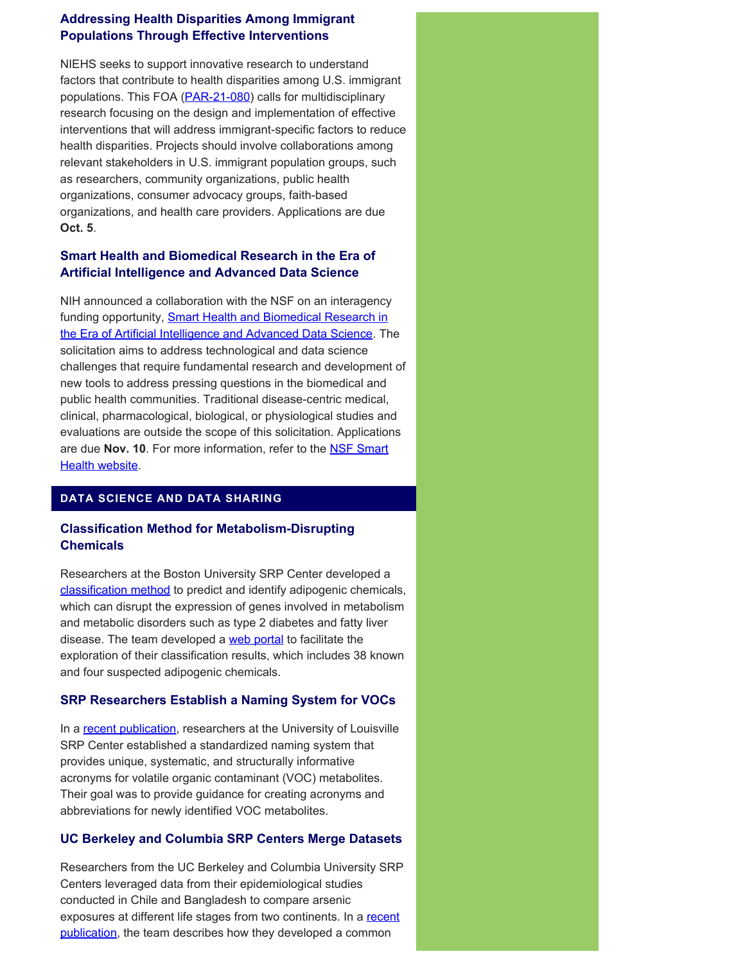# **Addressing Health Disparities Among Immigrant Populations Through Effective Interventions**

NIEHS seeks to support innovative research to understand factors that contribute to health disparities among U.S. immigrant populations. This FOA ([PAR-21-080](https://grants.nih.gov/grants/guide/pa-files/PAR-21-080.html)) calls for multidisciplinary research focusing on the design and implementation of effective interventions that will address immigrant-specific factors to reduce health disparities. Projects should involve collaborations among relevant stakeholders in U.S. immigrant population groups, such as researchers, community organizations, public health organizations, consumer advocacy groups, faith-based organizations, and health care providers. Applications are due **Oct. 5**.

# **Smart Health and Biomedical Research in the Era of Artificial Intelligence and Advanced Data Science**

NIH announced a collaboration with the NSF on an interagency funding opportunity, **Smart Health and Biomedical Research in** [the Era of Artificial Intelligence and Advanced Data Science.](https://grants.nih.gov/grants/guide/notice-files/NOT-OD-21-011.html) The solicitation aims to address technological and data science challenges that require fundamental research and development of new tools to address pressing questions in the biomedical and public health communities. Traditional disease-centric medical, clinical, pharmacological, biological, or physiological studies and evaluations are outside the scope of this solicitation. Applications are due **Nov. 10**. For more information, refer to the [NSF Smart](https://www.nsf.gov/pubs/2021/nsf21530/nsf21530.htm) [Health website.](https://www.nsf.gov/pubs/2021/nsf21530/nsf21530.htm)

# **DATA SCIENCE AND DATA SHARING**

# **Classification Method for Metabolism-Disrupting Chemicals**

Researchers at the Boston University SRP Center developed a [classification method](https://ehp.niehs.nih.gov/doi/10.1289/EHP6886) to predict and identify adipogenic chemicals, which can disrupt the expression of genes involved in metabolism and metabolic disorders such as type 2 diabetes and fatty liver disease. The team developed a [web portal](https://montilab.bu.edu/adipogenome/) to facilitate the exploration of their classification results, which includes 38 known and four suspected adipogenic chemicals.

# **SRP Researchers Establish a Naming System for VOCs**

In a [recent publication](https://pubmed.ncbi.nlm.nih.gov/33962120/), researchers at the University of Louisville SRP Center established a standardized naming system that provides unique, systematic, and structurally informative acronyms for volatile organic contaminant (VOC) metabolites. Their goal was to provide guidance for creating acronyms and abbreviations for newly identified VOC metabolites.

# **UC Berkeley and Columbia SRP Centers Merge Datasets**

Researchers from the UC Berkeley and Columbia University SRP Centers leveraged data from their epidemiological studies conducted in Chile and Bangladesh to compare arsenic exposures at different life stages from two continents. In a recent [publication,](https://pubmed.ncbi.nlm.nih.gov/34243768/) the team describes how they developed a common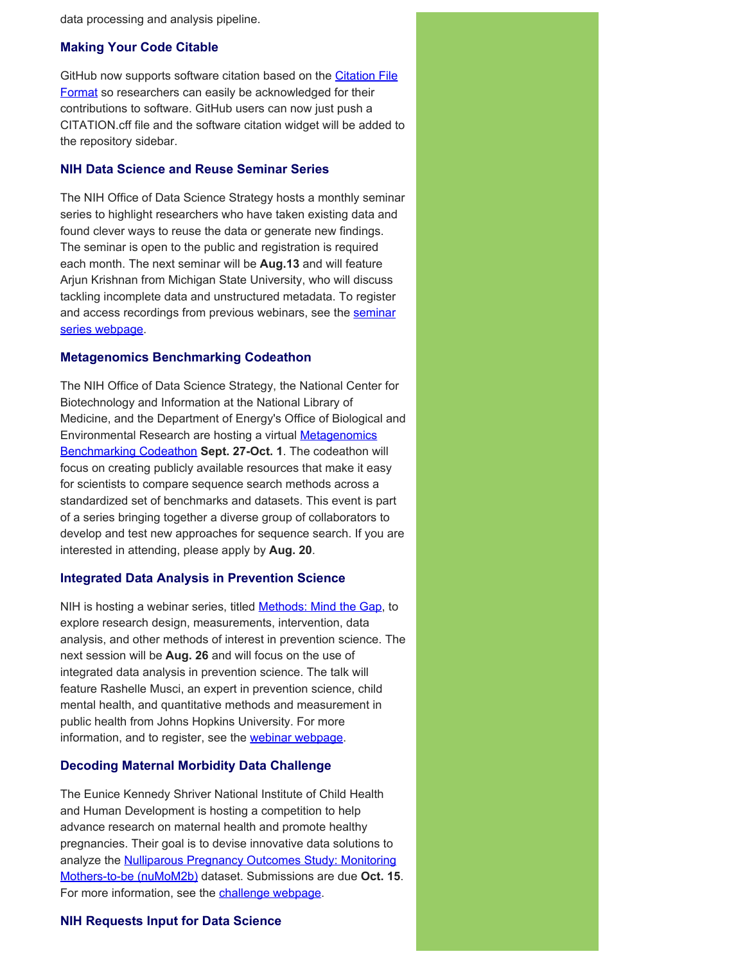data processing and analysis pipeline.

## **Making Your Code Citable**

GitHub now supports software citation based on the [Citation File](ehttps://citation-file-format.github.io/) [Format](ehttps://citation-file-format.github.io/) so researchers can easily be acknowledged for their contributions to software. GitHub users can now just push a CITATION.cff file and the software citation widget will be added to the repository sidebar.

## **NIH Data Science and Reuse Seminar Series**

The NIH Office of Data Science Strategy hosts a monthly seminar series to highlight researchers who have taken existing data and found clever ways to reuse the data or generate new findings. The seminar is open to the public and registration is required each month. The next seminar will be **Aug.13** and will feature Arjun Krishnan from Michigan State University, who will discuss tackling incomplete data and unstructured metadata. To register and access recordings from previous webinars, see the [seminar](https://datascience.nih.gov/nih-data-sharing-and-reuse-seminar-series) [series webpage.](https://datascience.nih.gov/nih-data-sharing-and-reuse-seminar-series)

## **Metagenomics Benchmarking Codeathon**

The NIH Office of Data Science Strategy, the National Center for Biotechnology and Information at the National Library of Medicine, and the Department of Energy's Office of Biological and Environmental Research are hosting a virtual **[Metagenomics](https://datascience.nih.gov/news/petabyte-scale-sequence-search-metagenomics-benchmarking-codeathon)** [Benchmarking Codeathon](https://datascience.nih.gov/news/petabyte-scale-sequence-search-metagenomics-benchmarking-codeathon) **Sept. 27-Oct. 1**. The codeathon will focus on creating publicly available resources that make it easy for scientists to compare sequence search methods across a standardized set of benchmarks and datasets. This event is part of a series bringing together a diverse group of collaborators to develop and test new approaches for sequence search. If you are interested in attending, please apply by **Aug. 20**.

## **Integrated Data Analysis in Prevention Science**

NIH is hosting a webinar series, titled **Methods: Mind the Gap**, to explore research design, measurements, intervention, data analysis, and other methods of interest in prevention science. The next session will be **Aug. 26** and will focus on the use of integrated data analysis in prevention science. The talk will feature Rashelle Musci, an expert in prevention science, child mental health, and quantitative methods and measurement in public health from Johns Hopkins University. For more information, and to register, see the [webinar webpage](https://prevention.nih.gov/education-training/methods-mind-gap/integrated-data-analysis-prevention-science).

## **Decoding Maternal Morbidity Data Challenge**

The Eunice Kennedy Shriver National Institute of Child Health and Human Development is hosting a competition to help advance research on maternal health and promote healthy pregnancies. Their goal is to devise innovative data solutions to analyze the **Nulliparous Pregnancy Outcomes Study: Monitoring** [Mothers-to-be \(nuMoM2b\)](https://www.nichd.nih.gov/research/supported/nuMoM2b) dataset. Submissions are due **Oct. 15**. For more information, see the [challenge webpage](https://www.challenge.gov/challenge/decoding-maternal-morbidity-data-challenge/).

## **NIH Requests Input for Data Science**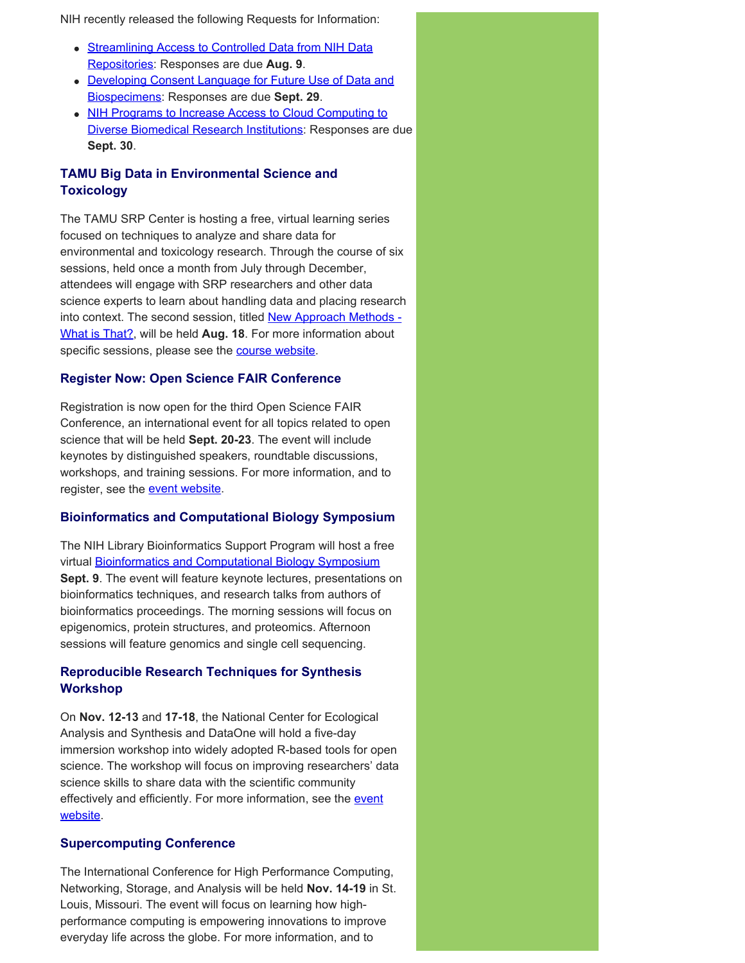NIH recently released the following Requests for Information:

- [Streamlining Access to Controlled Data from NIH Data](https://datascience.nih.gov/news/nih-request-for-information-on-streamlining-access-to-controlled-data-from-nih-data-repositories) [Repositories](https://datascience.nih.gov/news/nih-request-for-information-on-streamlining-access-to-controlled-data-from-nih-data-repositories): Responses are due **Aug. 9**.
- [Developing Consent Language for Future Use of Data and](https://datascience.nih.gov/news/nih-requests-information-on-developing-consent-language-for-future-use-of-data-and-biospecimens) [Biospecimens](https://datascience.nih.gov/news/nih-requests-information-on-developing-consent-language-for-future-use-of-data-and-biospecimens): Responses are due **Sept. 29**.
- [NIH Programs to Increase Access to Cloud Computing to](https://datascience.nih.gov/news/rfi-cloud-compute-diverse-institutions) [Diverse Biomedical Research Institutions](https://datascience.nih.gov/news/rfi-cloud-compute-diverse-institutions): Responses are due **Sept. 30**.

# **TAMU Big Data in Environmental Science and Toxicology**

The TAMU SRP Center is hosting a free, virtual learning series focused on techniques to analyze and share data for environmental and toxicology research. Through the course of six sessions, held once a month from July through December, attendees will engage with SRP researchers and other data science experts to learn about handling data and placing research into context. The second session, titled [New Approach Methods -](https://superfund.tamu.edu/big-data-session-2-aug-18-2021/) [What is That?,](https://superfund.tamu.edu/big-data-session-2-aug-18-2021/) will be held **Aug. 18**. For more information about specific sessions, please see the [course website](https://superfund.tamu.edu/big-data-series-2021/).

# **Register Now: Open Science FAIR Conference**

Registration is now open for the third Open Science FAIR Conference, an international event for all topics related to open science that will be held **Sept. 20-23**. The event will include keynotes by distinguished speakers, roundtable discussions, workshops, and training sessions. For more information, and to register, see the [event website](https://www.opensciencefair.eu/).

## **Bioinformatics and Computational Biology Symposium**

The NIH Library Bioinformatics Support Program will host a free virtual [Bioinformatics and Computational Biology Symposium](https://www.nihlibrary.nih.gov/services/bioinformatics-support/BioSymp21) **Sept. 9**. The event will feature keynote lectures, presentations on bioinformatics techniques, and research talks from authors of bioinformatics proceedings. The morning sessions will focus on epigenomics, protein structures, and proteomics. Afternoon sessions will feature genomics and single cell sequencing.

# **Reproducible Research Techniques for Synthesis Workshop**

On **Nov. 12-13** and **17-18**, the National Center for Ecological Analysis and Synthesis and DataOne will hold a five-day immersion workshop into widely adopted R-based tools for open science. The workshop will focus on improving researchers' data science skills to share data with the scientific community effectively and efficiently. For more information, see the [event](https://www.dataone.org/training/#upcoming-training) [website.](https://www.dataone.org/training/#upcoming-training)

## **Supercomputing Conference**

The International Conference for High Performance Computing, Networking, Storage, and Analysis will be held **Nov. 14-19** in St. Louis, Missouri. The event will focus on learning how highperformance computing is empowering innovations to improve everyday life across the globe. For more information, and to